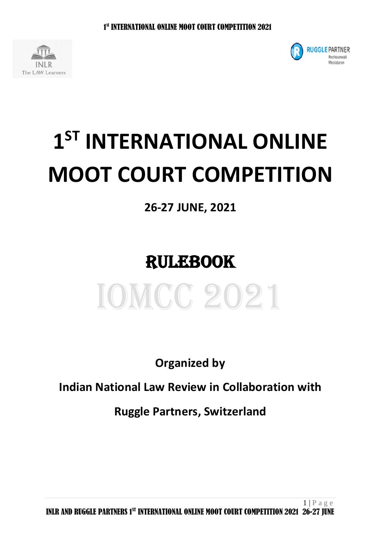



# **1 ST INTERNATIONAL ONLINE MOOT COURT COMPETITION**

## **26-27 JUNE, 2021**

# RULEBOOK



**Organized by**

**Indian National Law Review in Collaboration with**

**Ruggle Partners, Switzerland**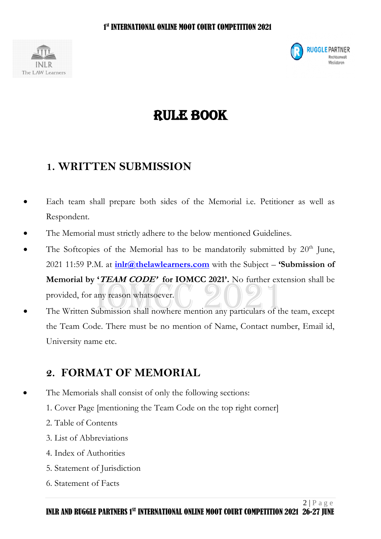



## RULE BOOK

#### **1. WRITTEN SUBMISSION**

- Each team shall prepare both sides of the Memorial i.e. Petitioner as well as Respondent.
- The Memorial must strictly adhere to the below mentioned Guidelines.
- The Softcopies of the Memorial has to be mandatorily submitted by  $20<sup>th</sup>$  June, 2021 11:59 P.M. at **[inlr@thelawlearners.com](mailto:inlr@thelawlearners.com)** with the Subject – **'Submission of Memorial by 'TEAM CODE' for IOMCC 2021'.** No further extension shall be provided, for any reason whatsoever.
- The Written Submission shall nowhere mention any particulars of the team, except the Team Code. There must be no mention of Name, Contact number, Email id, University name etc.

#### **2. FORMAT OF MEMORIAL**

- The Memorials shall consist of only the following sections:
	- 1. Cover Page [mentioning the Team Code on the top right corner]
	- 2. Table of Contents
	- 3. List of Abbreviations
	- 4. Index of Authorities
	- 5. Statement of Jurisdiction
	- 6. Statement of Facts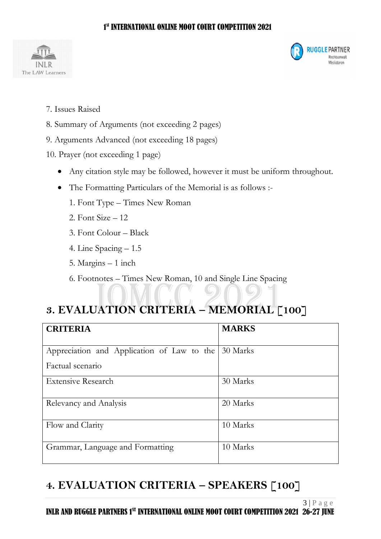#### $\sim$  1 st INTERNATIONAL ONLINE MOOT COURT COMPETITION 2021





- 7. Issues Raised
- 8. Summary of Arguments (not exceeding 2 pages)
- 9. Arguments Advanced (not exceeding 18 pages)
- 10. Prayer (not exceeding 1 page)
	- Any citation style may be followed, however it must be uniform throughout.
	- The Formatting Particulars of the Memorial is as follows :-
		- 1. Font Type Times New Roman
		- 2. Font Size 12
		- 3. Font Colour Black
		- 4. Line Spacing 1.5
		- 5. Margins 1 inch
		- 6. Footnotes Times New Roman, 10 and Single Line Spacing

### **3. EVALUATION CRITERIA – MEMORIAL [100]**

| <b>CRITERIA</b>                            | <b>MARKS</b> |
|--------------------------------------------|--------------|
| Appreciation and Application of Law to the | 30 Marks     |
| Factual scenario                           |              |
| <b>Extensive Research</b>                  | 30 Marks     |
| Relevancy and Analysis                     | 20 Marks     |
| Flow and Clarity                           | 10 Marks     |
| Grammar, Language and Formatting           | 10 Marks     |

#### **4. EVALUATION CRITERIA – SPEAKERS [100]**

 $3 | P \text{ a } g \text{ e}$ INLR AND RUGGLE PARTNERS 1<sup>st</sup> INTERNATIONAL ONLINE MOOT COURT COMPETITION 2021 26-27 JUNE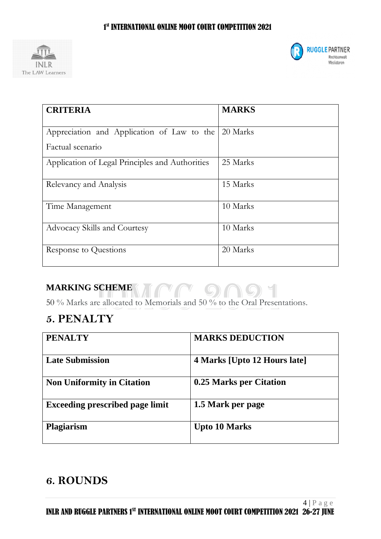



| <b>CRITERIA</b>                                 | <b>MARKS</b> |
|-------------------------------------------------|--------------|
| Appreciation and Application of Law to the      | 20 Marks     |
| Factual scenario                                |              |
| Application of Legal Principles and Authorities | 25 Marks     |
| Relevancy and Analysis                          | 15 Marks     |
| Time Management                                 | 10 Marks     |
| <b>Advocacy Skills and Courtesy</b>             | 10 Marks     |
| Response to Questions                           | 20 Marks     |

#### **MARKING SCHEME**

50 % Marks are allocated to Memorials and 50 % to the Oral Presentations.

#### **5. PENALTY**

| <b>PENALTY</b>                         | <b>MARKS DEDUCTION</b>       |
|----------------------------------------|------------------------------|
| <b>Late Submission</b>                 | 4 Marks [Upto 12 Hours late] |
| <b>Non Uniformity in Citation</b>      | 0.25 Marks per Citation      |
| <b>Exceeding prescribed page limit</b> | 1.5 Mark per page            |
| <b>Plagiarism</b>                      | <b>Upto 10 Marks</b>         |

#### **6. ROUNDS**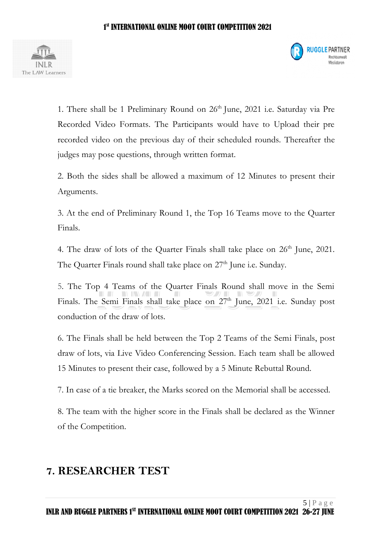



1. There shall be 1 Preliminary Round on  $26<sup>th</sup>$  June, 2021 i.e. Saturday via Pre Recorded Video Formats. The Participants would have to Upload their pre recorded video on the previous day of their scheduled rounds. Thereafter the judges may pose questions, through written format.

2. Both the sides shall be allowed a maximum of 12 Minutes to present their Arguments.

3. At the end of Preliminary Round 1, the Top 16 Teams move to the Quarter Finals.

4. The draw of lots of the Quarter Finals shall take place on  $26<sup>th</sup>$  June, 2021. The Quarter Finals round shall take place on  $27<sup>th</sup>$  June i.e. Sunday.

5. The Top 4 Teams of the Quarter Finals Round shall move in the Semi Finals. The Semi Finals shall take place on  $27<sup>th</sup>$  June,  $2021$  i.e. Sunday post conduction of the draw of lots.

6. The Finals shall be held between the Top 2 Teams of the Semi Finals, post draw of lots, via Live Video Conferencing Session. Each team shall be allowed 15 Minutes to present their case, followed by a 5 Minute Rebuttal Round.

7. In case of a tie breaker, the Marks scored on the Memorial shall be accessed.

8. The team with the higher score in the Finals shall be declared as the Winner of the Competition.

#### **7. RESEARCHER TEST**